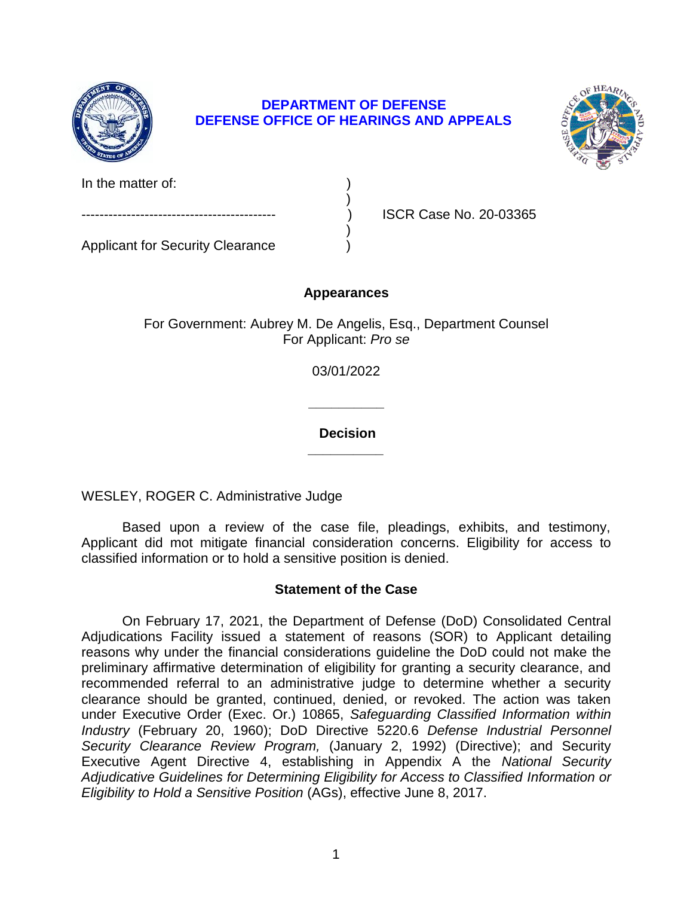

## **DEPARTMENT OF DEFENSE DEFENSE OFFICE OF HEARINGS AND APPEALS**



In the matter of:  $\qquad \qquad$ )

Applicant for Security Clearance )

------------------------------------------- ) ISCR Case No. 20-03365

# **Appearances**

)

)

For Government: Aubrey M. De Angelis, Esq., Department Counsel For Applicant: *Pro se* 

03/01/2022

**\_\_\_\_\_\_\_\_\_\_ Decision** 

**\_\_\_\_\_\_\_\_\_\_** 

WESLEY, ROGER C. Administrative Judge

 Based upon a review of the case file, pleadings, exhibits, and testimony, Applicant did mot mitigate financial consideration concerns. Eligibility for access to classified information or to hold a sensitive position is denied.

## **Statement of the Case**

 On February 17, 2021, the Department of Defense (DoD) Consolidated Central Adjudications Facility issued a statement of reasons (SOR) to Applicant detailing reasons why under the financial considerations guideline the DoD could not make the preliminary affirmative determination of eligibility for granting a security clearance, and recommended referral to an administrative judge to determine whether a security clearance should be granted, continued, denied, or revoked. The action was taken *Industry* (February 20, 1960); DoD Directive 5220.6 *Defense Industrial Personnel Security Clearance Review Program,* (January 2, 1992) (Directive); and Security Executive Agent Directive 4, establishing in Appendix A the *National Security Adjudicative Guidelines for Determining Eligibility for Access to Classified Information or*  under Executive Order (Exec. Or.) 10865, *Safeguarding Classified Information within Eligibility to Hold a Sensitive Position* (AGs), effective June 8, 2017.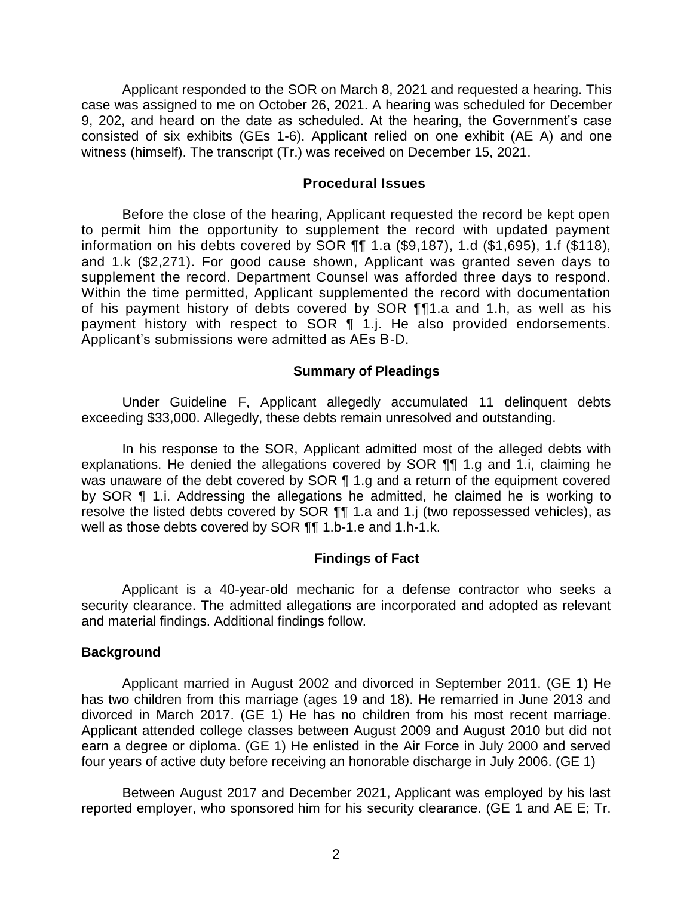Applicant responded to the SOR on March 8, 2021 and requested a hearing. This case was assigned to me on October 26, 2021. A hearing was scheduled for December 9, 202, and heard on the date as scheduled. At the hearing, the Government's case consisted of six exhibits (GEs 1-6). Applicant relied on one exhibit (AE A) and one witness (himself). The transcript (Tr.) was received on December 15, 2021.

#### **Procedural Issues**

 Before the close of the hearing, Applicant requested the record be kept open to permit him the opportunity to supplement the record with updated payment information on his debts covered by SOR ¶¶ 1.a (\$9,187), 1.d (\$1,695), 1.f (\$118), and 1.k (\$2,271). For good cause shown, Applicant was granted seven days to supplement the record. Department Counsel was afforded three days to respond. Within the time permitted, Applicant supplemented the record with documentation of his payment history of debts covered by SOR ¶¶1.a and 1.h, as well as his payment history with respect to SOR 1 1.j. He also provided endorsements. Applicant's submissions were admitted as AEs B-D.

### **Summary of Pleadings**

Under Guideline F, Applicant allegedly accumulated 11 delinquent debts exceeding \$33,000. Allegedly, these debts remain unresolved and outstanding.

 In his response to the SOR, Applicant admitted most of the alleged debts with explanations. He denied the allegations covered by SOR ¶¶ 1.g and 1.i, claiming he was unaware of the debt covered by SOR ¶ 1.g and a return of the equipment covered by SOR ¶ 1.i. Addressing the allegations he admitted, he claimed he is working to resolve the listed debts covered by SOR ¶¶ 1.a and 1.j (two repossessed vehicles), as well as those debts covered by SOR ¶¶ 1.b-1.e and 1.h-1.k.

### **Findings of Fact**

 Applicant is a 40-year-old mechanic for a defense contractor who seeks a security clearance. The admitted allegations are incorporated and adopted as relevant and material findings. Additional findings follow.

### **Background**

 Applicant married in August 2002 and divorced in September 2011. (GE 1) He has two children from this marriage (ages 19 and 18). He remarried in June 2013 and divorced in March 2017. (GE 1) He has no children from his most recent marriage. Applicant attended college classes between August 2009 and August 2010 but did not earn a degree or diploma. (GE 1) He enlisted in the Air Force in July 2000 and served four years of active duty before receiving an honorable discharge in July 2006. (GE 1)

 Between August 2017 and December 2021, Applicant was employed by his last reported employer, who sponsored him for his security clearance. (GE 1 and AE E; Tr.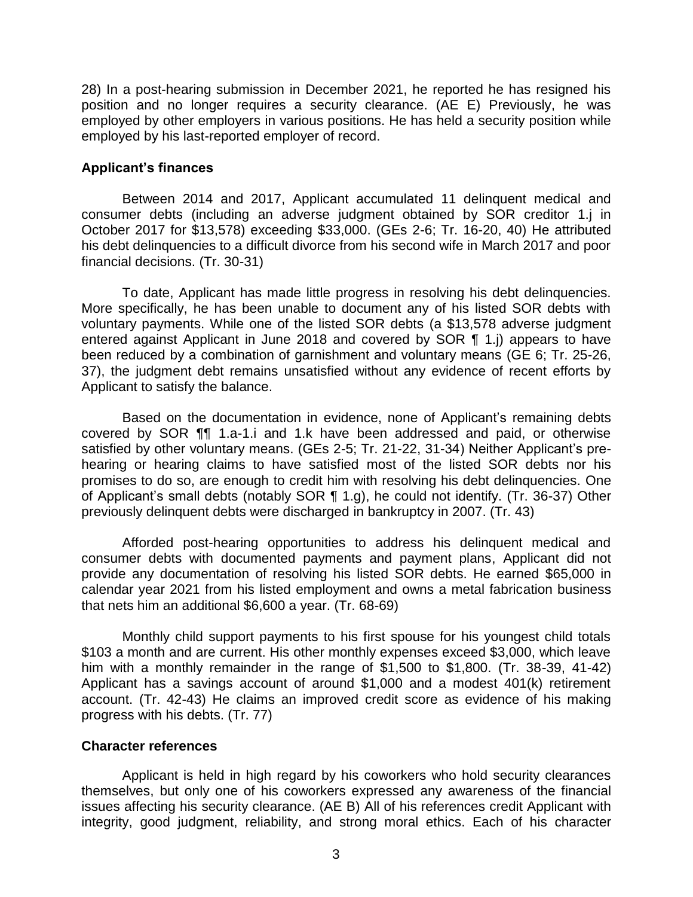28) In a post-hearing submission in December 2021, he reported he has resigned his position and no longer requires a security clearance. (AE E) Previously, he was employed by other employers in various positions. He has held a security position while employed by his last-reported employer of record.

### **Applicant's finances**

 consumer debts (including an adverse judgment obtained by SOR creditor 1.j in Between 2014 and 2017, Applicant accumulated 11 delinquent medical and October 2017 for \$13,578) exceeding \$33,000. (GEs 2-6; Tr. 16-20, 40) He attributed his debt delinquencies to a difficult divorce from his second wife in March 2017 and poor financial decisions. (Tr. 30-31)

 More specifically, he has been unable to document any of his listed SOR debts with voluntary payments. While one of the listed SOR debts (a \$13,578 adverse judgment entered against Applicant in June 2018 and covered by SOR ¶ 1.j) appears to have been reduced by a combination of garnishment and voluntary means (GE 6; Tr. 25-26, 37), the judgment debt remains unsatisfied without any evidence of recent efforts by To date, Applicant has made little progress in resolving his debt delinquencies. Applicant to satisfy the balance.

Based on the documentation in evidence, none of Applicant's remaining debts covered by SOR ¶¶ 1.a-1.i and 1.k have been addressed and paid, or otherwise satisfied by other voluntary means. (GEs 2-5; Tr. 21-22, 31-34) Neither Applicant's prehearing or hearing claims to have satisfied most of the listed SOR debts nor his promises to do so, are enough to credit him with resolving his debt delinquencies. One of Applicant's small debts (notably SOR ¶ 1.g), he could not identify. (Tr. 36-37) Other previously delinquent debts were discharged in bankruptcy in 2007. (Tr. 43)

 consumer debts with documented payments and payment plans, Applicant did not provide any documentation of resolving his listed SOR debts. He earned \$65,000 in calendar year 2021 from his listed employment and owns a metal fabrication business Afforded post-hearing opportunities to address his delinquent medical and that nets him an additional \$6,600 a year. (Tr. 68-69)

 Monthly child support payments to his first spouse for his youngest child totals \$103 a month and are current. His other monthly expenses exceed \$3,000, which leave him with a monthly remainder in the range of \$1,500 to \$1,800. (Tr. 38-39, 41-42) Applicant has a savings account of around \$1,000 and a modest 401(k) retirement account. (Tr. 42-43) He claims an improved credit score as evidence of his making progress with his debts. (Tr. 77)

## **Character references**

 Applicant is held in high regard by his coworkers who hold security clearances themselves, but only one of his coworkers expressed any awareness of the financial issues affecting his security clearance. (AE B) All of his references credit Applicant with integrity, good judgment, reliability, and strong moral ethics. Each of his character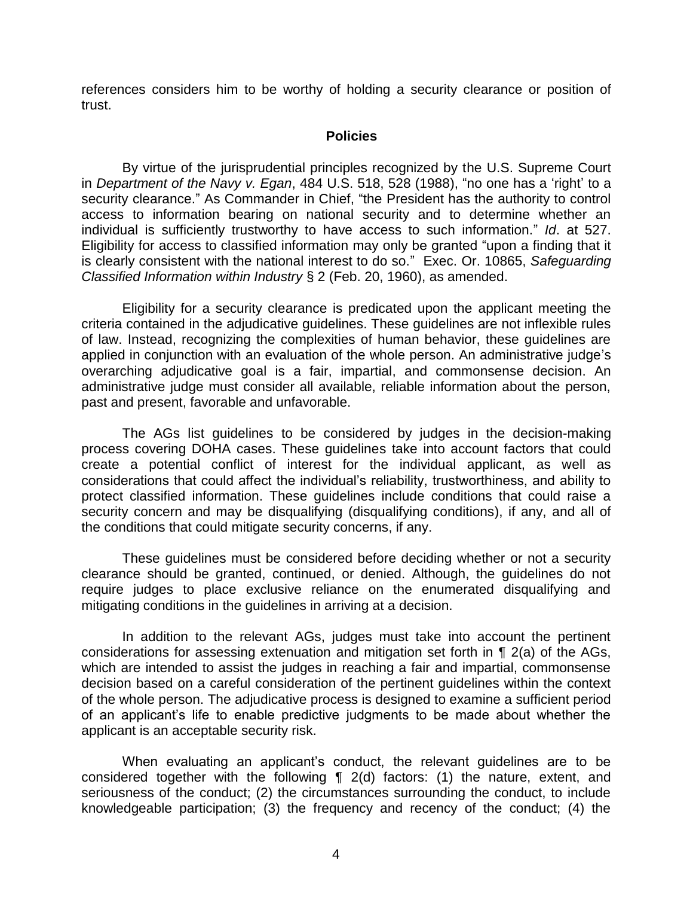references considers him to be worthy of holding a security clearance or position of trust.

### **Policies**

 By virtue of the jurisprudential principles recognized by the U.S. Supreme Court  in *Department of the Navy v. Egan*, 484 U.S. 518, 528 (1988), "no one has a 'right' to a security clearance." As Commander in Chief, "the President has the authority to control access to information bearing on national security and to determine whether an individual is sufficiently trustworthy to have access to such information." *Id*. at 527. Eligibility for access to classified information may only be granted "upon a finding that it is clearly consistent with the national interest to do so." Exec. Or. 10865, *Safeguarding*  Classified Information within Industry § 2 (Feb. 20, 1960), as amended.

*Classified Information within Industry* § 2 (Feb. 20, 1960), as amended.<br>Eligibility for a security clearance is predicated upon the applicant meeting the criteria contained in the adjudicative guidelines. These guidelines are not inflexible rules of law. Instead, recognizing the complexities of human behavior, these guidelines are applied in conjunction with an evaluation of the whole person. An administrative judge's overarching adjudicative goal is a fair, impartial, and commonsense decision. An administrative judge must consider all available, reliable information about the person, past and present, favorable and unfavorable.

 The AGs list guidelines to be considered by judges in the decision-making process covering DOHA cases. These guidelines take into account factors that could create a potential conflict of interest for the individual applicant, as well as considerations that could affect the individual's reliability, trustworthiness, and ability to protect classified information. These guidelines include conditions that could raise a security concern and may be disqualifying (disqualifying conditions), if any, and all of the conditions that could mitigate security concerns, if any.

 These guidelines must be considered before deciding whether or not a security clearance should be granted, continued, or denied. Although, the guidelines do not require judges to place exclusive reliance on the enumerated disqualifying and mitigating conditions in the guidelines in arriving at a decision.

 In addition to the relevant AGs, judges must take into account the pertinent considerations for assessing extenuation and mitigation set forth in ¶ 2(a) of the AGs, which are intended to assist the judges in reaching a fair and impartial, commonsense decision based on a careful consideration of the pertinent guidelines within the context of an applicant's life to enable predictive judgments to be made about whether the of the whole person. The adjudicative process is designed to examine a sufficient period applicant is an acceptable security risk.

 When evaluating an applicant's conduct, the relevant guidelines are to be considered together with the following ¶ 2(d) factors: (1) the nature, extent, and seriousness of the conduct; (2) the circumstances surrounding the conduct, to include knowledgeable participation; (3) the frequency and recency of the conduct; (4) the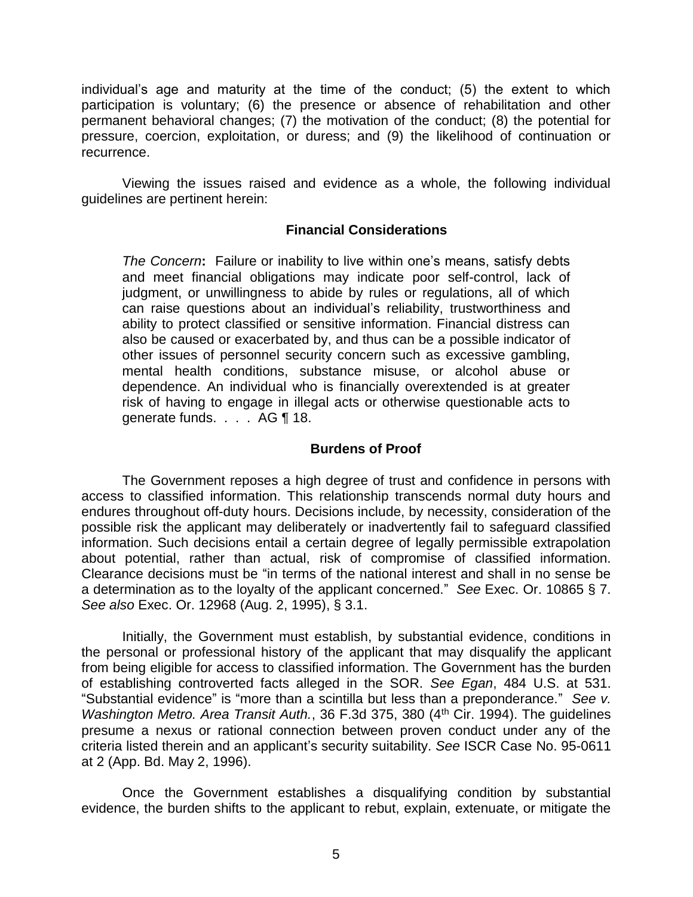individual's age and maturity at the time of the conduct; (5) the extent to which participation is voluntary; (6) the presence or absence of rehabilitation and other permanent behavioral changes; (7) the motivation of the conduct; (8) the potential for pressure, coercion, exploitation, or duress; and (9) the likelihood of continuation or recurrence.

 Viewing the issues raised and evidence as a whole, the following individual guidelines are pertinent herein:

### **Financial Considerations**

*The Concern***:** Failure or inability to live within one's means, satisfy debts and meet financial obligations may indicate poor self-control, lack of judgment, or unwillingness to abide by rules or regulations, all of which can raise questions about an individual's reliability, trustworthiness and ability to protect classified or sensitive information. Financial distress can also be caused or exacerbated by, and thus can be a possible indicator of other issues of personnel security concern such as excessive gambling, mental health conditions, substance misuse, or alcohol abuse or dependence. An individual who is financially overextended is at greater risk of having to engage in illegal acts or otherwise questionable acts to generate funds. . . . AG ¶ 18.

### **Burdens of Proof**

 The Government reposes a high degree of trust and confidence in persons with access to classified information. This relationship transcends normal duty hours and endures throughout off-duty hours. Decisions include, by necessity, consideration of the possible risk the applicant may deliberately or inadvertently fail to safeguard classified information. Such decisions entail a certain degree of legally permissible extrapolation about potential, rather than actual, risk of compromise of classified information. Clearance decisions must be "in terms of the national interest and shall in no sense be a determination as to the loyalty of the applicant concerned." *See* Exec. Or. 10865 § 7. *See also* Exec. Or. 12968 (Aug. 2, 1995), § 3.1.

Initially, the Government must establish, by substantial evidence, conditions in the personal or professional history of the applicant that may disqualify the applicant from being eligible for access to classified information. The Government has the burden of establishing controverted facts alleged in the SOR. *See Egan*, 484 U.S. at 531. "Substantial evidence" is "more than a scintilla but less than a preponderance." *See v. Washington Metro. Area Transit Auth.*, 36 F.3d 375, 380 (4<sup>th</sup> Cir. 1994). The guidelines presume a nexus or rational connection between proven conduct under any of the criteria listed therein and an applicant's security suitability. *See* ISCR Case No. 95-0611 at 2 (App. Bd. May 2, 1996).

 Once the Government establishes a disqualifying condition by substantial evidence, the burden shifts to the applicant to rebut, explain, extenuate, or mitigate the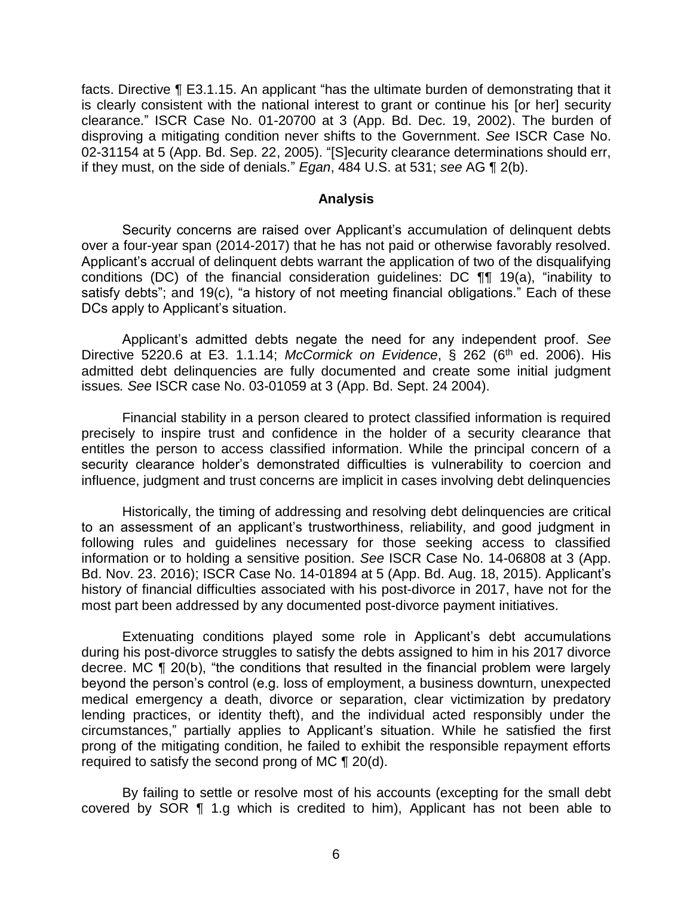facts. Directive ¶ E3.1.15. An applicant "has the ultimate burden of demonstrating that it is clearly consistent with the national interest to grant or continue his [or her] security clearance." ISCR Case No. 01-20700 at 3 (App. Bd. Dec. 19, 2002). The burden of disproving a mitigating condition never shifts to the Government. *See* ISCR Case No. 02-31154 at 5 (App. Bd. Sep. 22, 2005). "[S]ecurity clearance determinations should err, if they must, on the side of denials." *Egan*, 484 U.S. at 531; *see* AG ¶ 2(b).

#### **Analysis**

 Security concerns are raised over Applicant's accumulation of delinquent debts over a four-year span (2014-2017) that he has not paid or otherwise favorably resolved. Applicant's accrual of delinquent debts warrant the application of two of the disqualifying conditions (DC) of the financial consideration guidelines: DC ¶¶ 19(a), "inability to satisfy debts"; and 19(c), "a history of not meeting financial obligations." Each of these DCs apply to Applicant's situation.

Applicant's admitted debts negate the need for any independent proof. *See*  Directive 5220.6 at E3. 1.1.14; *McCormick on Evidence*, § 262 (6<sup>th</sup> ed. 2006). His admitted debt delinquencies are fully documented and create some initial judgment issues*. See* ISCR case No. 03-01059 at 3 (App. Bd. Sept. 24 2004).

 Financial stability in a person cleared to protect classified information is required precisely to inspire trust and confidence in the holder of a security clearance that entitles the person to access classified information. While the principal concern of a security clearance holder's demonstrated difficulties is vulnerability to coercion and influence, judgment and trust concerns are implicit in cases involving debt delinquencies

Historically, the timing of addressing and resolving debt delinquencies are critical to an assessment of an applicant's trustworthiness, reliability, and good judgment in following rules and guidelines necessary for those seeking access to classified information or to holding a sensitive position. *See* ISCR Case No. 14-06808 at 3 (App. Bd. Nov. 23. 2016); ISCR Case No. 14-01894 at 5 (App. Bd. Aug. 18, 2015). Applicant's history of financial difficulties associated with his post-divorce in 2017, have not for the most part been addressed by any documented post-divorce payment initiatives.

 during his post-divorce struggles to satisfy the debts assigned to him in his 2017 divorce decree. MC ¶ 20(b), "the conditions that resulted in the financial problem were largely medical emergency a death, divorce or separation, clear victimization by predatory lending practices, or identity theft), and the individual acted responsibly under the circumstances," partially applies to Applicant's situation. While he satisfied the first prong of the mitigating condition, he failed to exhibit the responsible repayment efforts Extenuating conditions played some role in Applicant's debt accumulations beyond the person's control (e.g. loss of employment, a business downturn, unexpected required to satisfy the second prong of MC ¶ 20(d).

 By failing to settle or resolve most of his accounts (excepting for the small debt covered by SOR ¶ 1.g which is credited to him), Applicant has not been able to